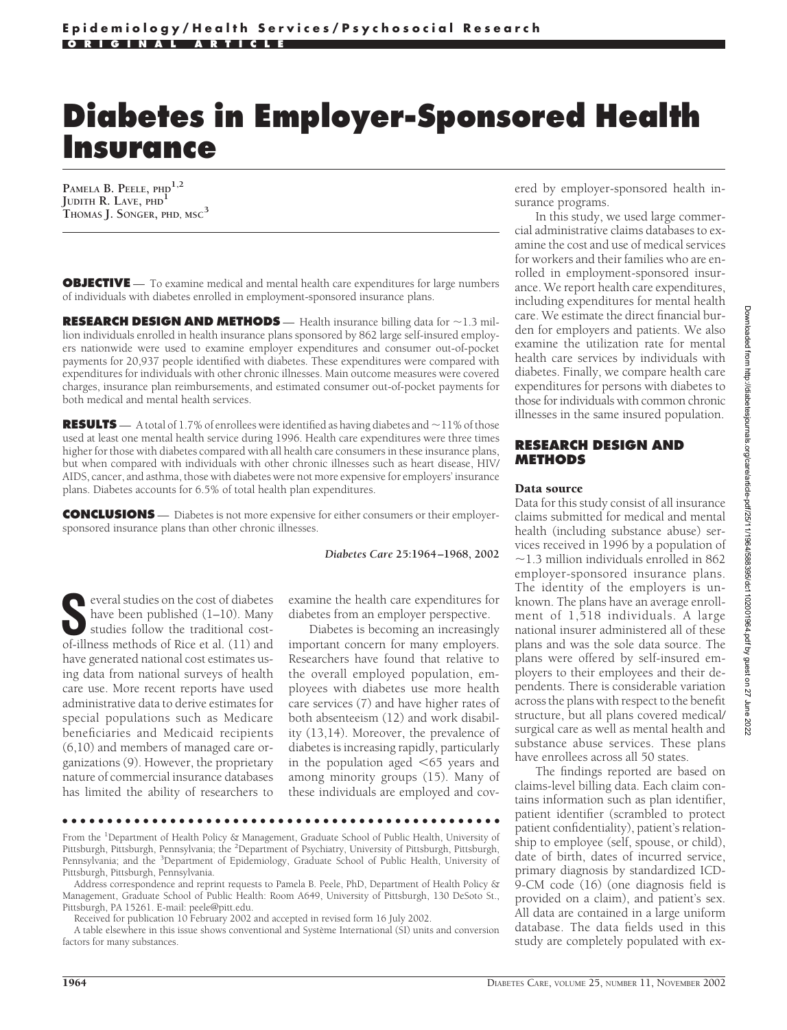# **Diabetes in Employer-Sponsored Health Insurance**

**PAMELA B. PEELE, PHD1,2 JUDITH R. LAVE, PHD<sup>1</sup> THOMAS J. SONGER, PHD, MSC<sup>3</sup>**

**OBJECTIVE** — To examine medical and mental health care expenditures for large numbers of individuals with diabetes enrolled in employment-sponsored insurance plans.

**RESEARCH DESIGN AND METHODS** — Health insurance billing data for  $\sim$  1.3 million individuals enrolled in health insurance plans sponsored by 862 large self-insured employers nationwide were used to examine employer expenditures and consumer out-of-pocket payments for 20,937 people identified with diabetes. These expenditures were compared with expenditures for individuals with other chronic illnesses. Main outcome measures were covered charges, insurance plan reimbursements, and estimated consumer out-of-pocket payments for both medical and mental health services.

**RESULTS** — A total of 1.7% of enrollees were identified as having diabetes and  $\sim$  11% of those used at least one mental health service during 1996. Health care expenditures were three times higher for those with diabetes compared with all health care consumers in these insurance plans, but when compared with individuals with other chronic illnesses such as heart disease, HIV/ AIDS, cancer, and asthma, those with diabetes were not more expensive for employers' insurance plans. Diabetes accounts for 6.5% of total health plan expenditures.

**CONCLUSIONS** — Diabetes is not more expensive for either consumers or their employersponsored insurance plans than other chronic illnesses.

#### *Diabetes Care* **25:1964–1968, 2002**

**S**everal studies on the cost of diabetes have been published (1–10). Many studies follow the traditional costof-illness methods of Rice et al. (11) and have generated national cost estimates using data from national surveys of health care use. More recent reports have used administrative data to derive estimates for special populations such as Medicare beneficiaries and Medicaid recipients (6,10) and members of managed care organizations (9). However, the proprietary nature of commercial insurance databases has limited the ability of researchers to

examine the health care expenditures for diabetes from an employer perspective.

Diabetes is becoming an increasingly important concern for many employers. Researchers have found that relative to the overall employed population, employees with diabetes use more health care services (7) and have higher rates of both absenteeism (12) and work disability (13,14). Moreover, the prevalence of diabetes is increasing rapidly, particularly in the population aged  $\leq 65$  years and among minority groups (15). Many of these individuals are employed and cov-

●●●●●●●●●●●●●●●●●●●●●●●●●●●●●●●●●●●●●●●●●●●●●●●●●

From the <sup>1</sup>Department of Health Policy & Management, Graduate School of Public Health, University of Pittsburgh, Pittsburgh, Pennsylvania; the <sup>2</sup>Department of Psychiatry, University of Pittsburgh, Pittsburgh, Pennsylvania; and the <sup>3</sup>Department of Epidemiology, Graduate School of Public Health, University of Pittsburgh, Pittsburgh, Pennsylvania.

Address correspondence and reprint requests to Pamela B. Peele, PhD, Department of Health Policy & Management, Graduate School of Public Health: Room A649, University of Pittsburgh, 130 DeSoto St., Pittsburgh, PA 15261. E-mail: peele@pitt.edu.

Received for publication 10 February 2002 and accepted in revised form 16 July 2002.

A table elsewhere in this issue shows conventional and Système International (SI) units and conversion factors for many substances.

ered by employer-sponsored health insurance programs.

In this study, we used large commercial administrative claims databases to examine the cost and use of medical services for workers and their families who are enrolled in employment-sponsored insurance. We report health care expenditures, including expenditures for mental health care. We estimate the direct financial burden for employers and patients. We also examine the utilization rate for mental health care services by individuals with diabetes. Finally, we compare health care expenditures for persons with diabetes to those for individuals with common chronic illnesses in the same insured population.

#### **RESEARCH DESIGN AND METHODS**

#### Data source

Data for this study consist of all insurance claims submitted for medical and mental health (including substance abuse) services received in 1996 by a population of  $\sim$ 1.3 million individuals enrolled in 862 employer-sponsored insurance plans. The identity of the employers is unknown. The plans have an average enrollment of 1,518 individuals. A large national insurer administered all of these plans and was the sole data source. The plans were offered by self-insured employers to their employees and their dependents. There is considerable variation across the plans with respect to the benefit structure, but all plans covered medical/ surgical care as well as mental health and substance abuse services. These plans have enrollees across all 50 states.

The findings reported are based on claims-level billing data. Each claim contains information such as plan identifier, patient identifier (scrambled to protect patient confidentiality), patient's relationship to employee (self, spouse, or child), date of birth, dates of incurred service, primary diagnosis by standardized ICD-9-CM code (16) (one diagnosis field is provided on a claim), and patient's sex. All data are contained in a large uniform database. The data fields used in this study are completely populated with ex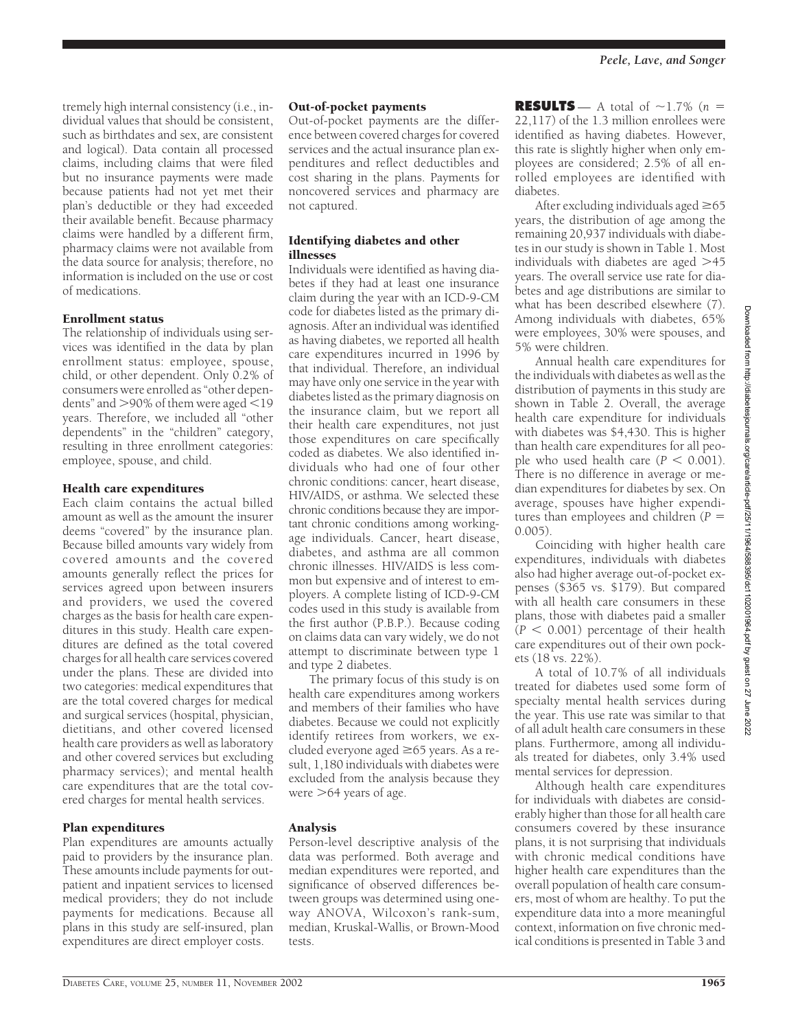tremely high internal consistency (i.e., individual values that should be consistent, such as birthdates and sex, are consistent and logical). Data contain all processed claims, including claims that were filed but no insurance payments were made because patients had not yet met their plan's deductible or they had exceeded their available benefit. Because pharmacy claims were handled by a different firm, pharmacy claims were not available from the data source for analysis; therefore, no information is included on the use or cost of medications.

# Enrollment status

The relationship of individuals using services was identified in the data by plan enrollment status: employee, spouse, child, or other dependent. Only 0.2% of consumers were enrolled as"other dependents" and  $>$ 90% of them were aged  $<$ 19 years. Therefore, we included all "other dependents" in the "children" category, resulting in three enrollment categories: employee, spouse, and child.

#### Health care expenditures

Each claim contains the actual billed amount as well as the amount the insurer deems "covered" by the insurance plan. Because billed amounts vary widely from covered amounts and the covered amounts generally reflect the prices for services agreed upon between insurers and providers, we used the covered charges as the basis for health care expenditures in this study. Health care expenditures are defined as the total covered charges for all health care services covered under the plans. These are divided into two categories: medical expenditures that are the total covered charges for medical and surgical services (hospital, physician, dietitians, and other covered licensed health care providers as well as laboratory and other covered services but excluding pharmacy services); and mental health care expenditures that are the total covered charges for mental health services.

## Plan expenditures

Plan expenditures are amounts actually paid to providers by the insurance plan. These amounts include payments for outpatient and inpatient services to licensed medical providers; they do not include payments for medications. Because all plans in this study are self-insured, plan expenditures are direct employer costs.

#### Out-of-pocket payments

Out-of-pocket payments are the difference between covered charges for covered services and the actual insurance plan expenditures and reflect deductibles and cost sharing in the plans. Payments for noncovered services and pharmacy are not captured.

#### Identifying diabetes and other illnesses

Individuals were identified as having diabetes if they had at least one insurance claim during the year with an ICD-9-CM code for diabetes listed as the primary diagnosis. After an individual was identified as having diabetes, we reported all health care expenditures incurred in 1996 by that individual. Therefore, an individual may have only one service in the year with diabetes listed as the primary diagnosis on the insurance claim, but we report all their health care expenditures, not just those expenditures on care specifically coded as diabetes. We also identified individuals who had one of four other chronic conditions: cancer, heart disease, HIV/AIDS, or asthma. We selected these chronic conditions because they are important chronic conditions among workingage individuals. Cancer, heart disease, diabetes, and asthma are all common chronic illnesses. HIV/AIDS is less common but expensive and of interest to employers. A complete listing of ICD-9-CM codes used in this study is available from the first author (P.B.P.). Because coding on claims data can vary widely, we do not attempt to discriminate between type 1 and type 2 diabetes.

The primary focus of this study is on health care expenditures among workers and members of their families who have diabetes. Because we could not explicitly identify retirees from workers, we excluded everyone aged  $\geq 65$  years. As a result, 1,180 individuals with diabetes were excluded from the analysis because they were  $>64$  years of age.

## Analysis

Person-level descriptive analysis of the data was performed. Both average and median expenditures were reported, and significance of observed differences between groups was determined using oneway ANOVA, Wilcoxon's rank-sum, median, Kruskal-Wallis, or Brown-Mood tests.

**RESULTS** — A total of  $\sim$ 1.7% (*n* = 22,117) of the 1.3 million enrollees were identified as having diabetes. However, this rate is slightly higher when only employees are considered; 2.5% of all enrolled employees are identified with diabetes.

After excluding individuals aged  $\geq 65$ years, the distribution of age among the remaining 20,937 individuals with diabetes in our study is shown in Table 1. Most individuals with diabetes are aged  $>45$ years. The overall service use rate for diabetes and age distributions are similar to what has been described elsewhere (7). Among individuals with diabetes, 65% were employees, 30% were spouses, and 5% were children.

Annual health care expenditures for the individuals with diabetes as well as the distribution of payments in this study are shown in Table 2. Overall, the average health care expenditure for individuals with diabetes was \$4,430. This is higher than health care expenditures for all people who used health care  $(P < 0.001)$ . There is no difference in average or median expenditures for diabetes by sex. On average, spouses have higher expenditures than employees and children (*P* 0.005).

Coinciding with higher health care expenditures, individuals with diabetes also had higher average out-of-pocket expenses (\$365 vs. \$179). But compared with all health care consumers in these plans, those with diabetes paid a smaller  $(P < 0.001)$  percentage of their health care expenditures out of their own pockets (18 vs. 22%).

A total of 10.7% of all individuals treated for diabetes used some form of specialty mental health services during the year. This use rate was similar to that of all adult health care consumers in these plans. Furthermore, among all individuals treated for diabetes, only 3.4% used mental services for depression.

Although health care expenditures for individuals with diabetes are considerably higher than those for all health care consumers covered by these insurance plans, it is not surprising that individuals with chronic medical conditions have higher health care expenditures than the overall population of health care consumers, most of whom are healthy. To put the expenditure data into a more meaningful context, information on five chronic medical conditions is presented in Table 3 and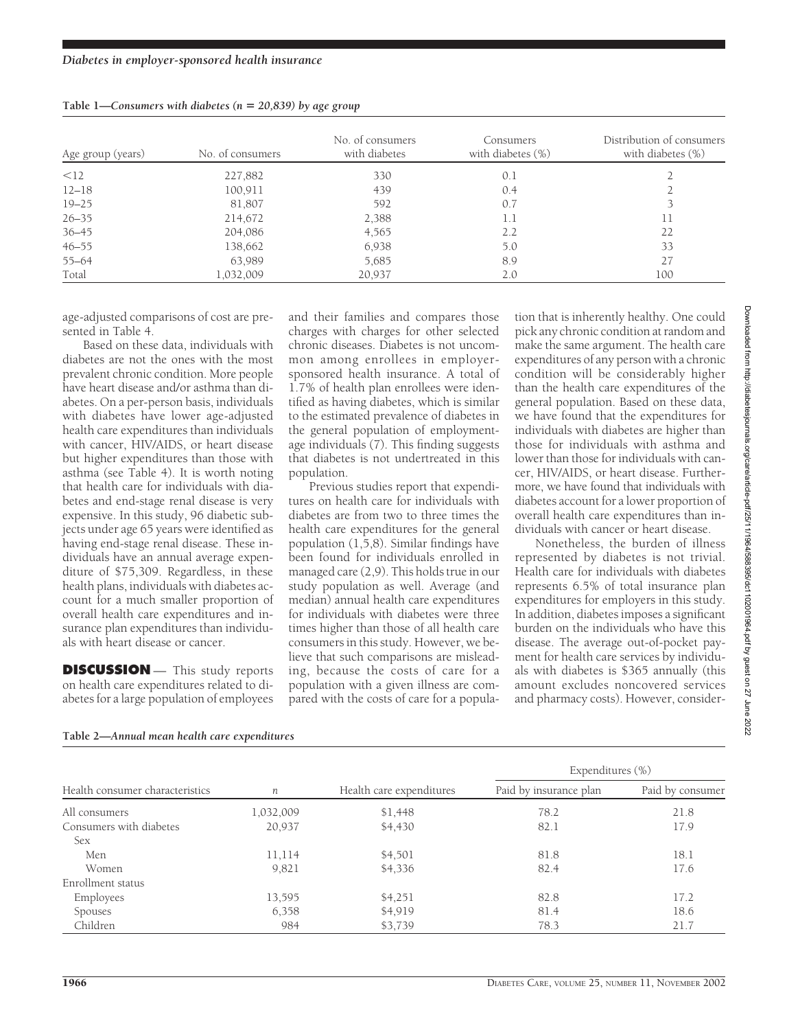| Table 1—Consumers with diabetes ( $n = 20,839$ ) by age group |  |  |  |
|---------------------------------------------------------------|--|--|--|
|                                                               |  |  |  |

| Age group (years) | No. of consumers | No. of consumers<br>with diabetes | Consumers<br>with diabetes (%) | Distribution of consumers<br>with diabetes $(\%)$ |
|-------------------|------------------|-----------------------------------|--------------------------------|---------------------------------------------------|
| <12               | 227,882          | 330                               | 0.1                            |                                                   |
| $12 - 18$         | 100,911          | 439                               | 0.4                            |                                                   |
| $19 - 25$         | 81,807           | 592                               | 0.7                            |                                                   |
| $26 - 35$         | 214,672          | 2,388                             | 1.1                            | 11                                                |
| $36 - 45$         | 204,086          | 4,565                             | 2.2                            | 22                                                |
| $46 - 55$         | 138,662          | 6,938                             | 5.0                            | 33                                                |
| $55 - 64$         | 63,989           | 5,685                             | 8.9                            | 27                                                |
| Total             | 1,032,009        | 20,937                            | 2.0                            | 100                                               |

age-adjusted comparisons of cost are presented in Table 4.

Based on these data, individuals with diabetes are not the ones with the most prevalent chronic condition. More people have heart disease and/or asthma than diabetes. On a per-person basis, individuals with diabetes have lower age-adjusted health care expenditures than individuals with cancer, HIV/AIDS, or heart disease but higher expenditures than those with asthma (see Table 4). It is worth noting that health care for individuals with diabetes and end-stage renal disease is very expensive. In this study, 96 diabetic subjects under age 65 years were identified as having end-stage renal disease. These individuals have an annual average expenditure of \$75,309. Regardless, in these health plans, individuals with diabetes account for a much smaller proportion of overall health care expenditures and insurance plan expenditures than individuals with heart disease or cancer.

**DISCUSSION** - This study reports on health care expenditures related to diabetes for a large population of employees

and their families and compares those charges with charges for other selected chronic diseases. Diabetes is not uncommon among enrollees in employersponsored health insurance. A total of 1.7% of health plan enrollees were identified as having diabetes, which is similar to the estimated prevalence of diabetes in the general population of employmentage individuals (7). This finding suggests that diabetes is not undertreated in this population.

Previous studies report that expenditures on health care for individuals with diabetes are from two to three times the health care expenditures for the general population (1,5,8). Similar findings have been found for individuals enrolled in managed care (2,9). This holds true in our study population as well. Average (and median) annual health care expenditures for individuals with diabetes were three times higher than those of all health care consumers in this study. However, we believe that such comparisons are misleading, because the costs of care for a population with a given illness are compared with the costs of care for a population that is inherently healthy. One could pick any chronic condition at random and make the same argument. The health care expenditures of any person with a chronic condition will be considerably higher than the health care expenditures of the general population. Based on these data, we have found that the expenditures for individuals with diabetes are higher than those for individuals with asthma and lower than those for individuals with cancer, HIV/AIDS, or heart disease. Furthermore, we have found that individuals with diabetes account for a lower proportion of overall health care expenditures than individuals with cancer or heart disease.

Nonetheless, the burden of illness represented by diabetes is not trivial. Health care for individuals with diabetes represents 6.5% of total insurance plan expenditures for employers in this study. In addition, diabetes imposes a significant burden on the individuals who have this disease. The average out-of-pocket payment for health care services by individuals with diabetes is \$365 annually (this amount excludes noncovered services and pharmacy costs). However, consider-

| Table 2—Annual mean health care expenditures |  |  |  |  |
|----------------------------------------------|--|--|--|--|
|----------------------------------------------|--|--|--|--|

|                                 |           |                          | Expenditures $(\%)$    |                  |  |
|---------------------------------|-----------|--------------------------|------------------------|------------------|--|
| Health consumer characteristics | n         | Health care expenditures | Paid by insurance plan | Paid by consumer |  |
| All consumers                   | 1,032,009 | \$1,448                  | 78.2                   | 21.8             |  |
| Consumers with diabetes         | 20,937    | \$4,430                  | 82.1                   | 17.9             |  |
| Sex                             |           |                          |                        |                  |  |
| Men                             | 11,114    | \$4,501                  | 81.8                   | 18.1             |  |
| Women                           | 9,821     | \$4,336                  | 82.4                   | 17.6             |  |
| Enrollment status               |           |                          |                        |                  |  |
| Employees                       | 13,595    | \$4,251                  | 82.8                   | 17.2             |  |
| Spouses                         | 6,358     | \$4,919                  | 81.4                   | 18.6             |  |
| Children                        | 984       | \$3,739                  | 78.3                   | 21.7             |  |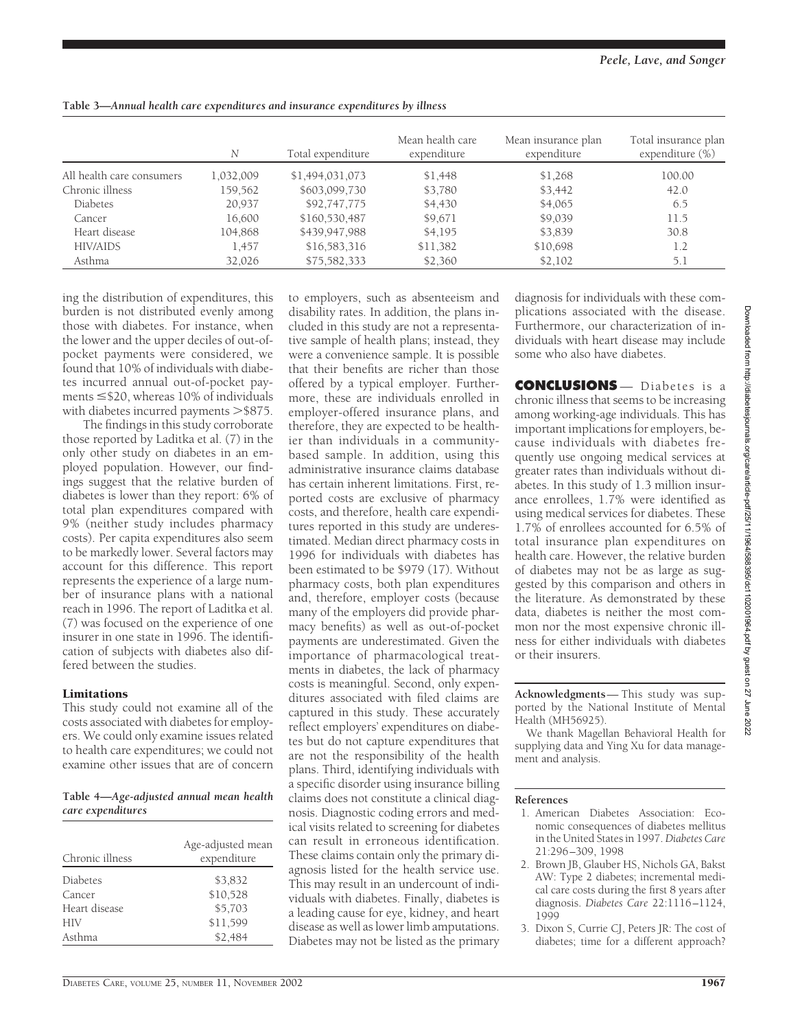|                           | N         | Total expenditure | Mean health care<br>expenditure | Mean insurance plan<br>expenditure | Total insurance plan<br>expenditure (%) |
|---------------------------|-----------|-------------------|---------------------------------|------------------------------------|-----------------------------------------|
| All health care consumers | 1,032,009 | \$1,494,031,073   | \$1,448                         | \$1,268                            | 100.00                                  |
| Chronic illness           | 159,562   | \$603,099,730     | \$3,780                         | \$3,442                            | 42.0                                    |
| <b>Diabetes</b>           | 20,937    | \$92,747,775      | \$4,430                         | \$4,065                            | 6.5                                     |
| Cancer                    | 16,600    | \$160,530,487     | \$9,671                         | \$9,039                            | 11.5                                    |
| Heart disease             | 104,868   | \$439,947,988     | \$4,195                         | \$3,839                            | 30.8                                    |
| HIV/AIDS                  | 1,457     | \$16,583,316      | \$11,382                        | \$10,698                           | 1.2                                     |
| Asthma                    | 32,026    | \$75,582,333      | \$2,360                         | \$2,102                            | 5.1                                     |

**Table 3—***Annual health care expenditures and insurance expenditures by illness*

ing the distribution of expenditures, this burden is not distributed evenly among those with diabetes. For instance, when the lower and the upper deciles of out-ofpocket payments were considered, we found that 10% of individuals with diabetes incurred annual out-of-pocket payments  $\leq$ \$20, whereas 10% of individuals with diabetes incurred payments  $>$ \$875.

The findings in this study corroborate those reported by Laditka et al. (7) in the only other study on diabetes in an employed population. However, our findings suggest that the relative burden of diabetes is lower than they report: 6% of total plan expenditures compared with 9% (neither study includes pharmacy costs). Per capita expenditures also seem to be markedly lower. Several factors may account for this difference. This report represents the experience of a large number of insurance plans with a national reach in 1996. The report of Laditka et al. (7) was focused on the experience of one insurer in one state in 1996. The identification of subjects with diabetes also differed between the studies.

## Limitations

This study could not examine all of the costs associated with diabetes for employers. We could only examine issues related to health care expenditures; we could not examine other issues that are of concern

#### **Table 4—***Age-adjusted annual mean health care expenditures*

| Chronic illness | Age-adjusted mean<br>expenditure |
|-----------------|----------------------------------|
| Diabetes        | \$3,832                          |
| Cancer          | \$10,528                         |
| Heart disease   | \$5,703                          |
| <b>HIV</b>      | \$11,599                         |
| Asthma          | \$2,484                          |

to employers, such as absenteeism and disability rates. In addition, the plans included in this study are not a representative sample of health plans; instead, they were a convenience sample. It is possible that their benefits are richer than those offered by a typical employer. Furthermore, these are individuals enrolled in employer-offered insurance plans, and therefore, they are expected to be healthier than individuals in a communitybased sample. In addition, using this administrative insurance claims database has certain inherent limitations. First, reported costs are exclusive of pharmacy costs, and therefore, health care expenditures reported in this study are underestimated. Median direct pharmacy costs in 1996 for individuals with diabetes has been estimated to be \$979 (17). Without pharmacy costs, both plan expenditures and, therefore, employer costs (because many of the employers did provide pharmacy benefits) as well as out-of-pocket payments are underestimated. Given the importance of pharmacological treatments in diabetes, the lack of pharmacy costs is meaningful. Second, only expenditures associated with filed claims are captured in this study. These accurately reflect employers' expenditures on diabetes but do not capture expenditures that are not the responsibility of the health plans. Third, identifying individuals with a specific disorder using insurance billing claims does not constitute a clinical diagnosis. Diagnostic coding errors and medical visits related to screening for diabetes can result in erroneous identification. These claims contain only the primary diagnosis listed for the health service use. This may result in an undercount of individuals with diabetes. Finally, diabetes is a leading cause for eye, kidney, and heart disease as well as lower limb amputations. Diabetes may not be listed as the primary

diagnosis for individuals with these complications associated with the disease. Furthermore, our characterization of individuals with heart disease may include some who also have diabetes.

**CONCLUSIONS** — Diabetes is a chronic illness that seems to be increasing among working-age individuals. This has important implications for employers, because individuals with diabetes frequently use ongoing medical services at greater rates than individuals without diabetes. In this study of 1.3 million insurance enrollees, 1.7% were identified as using medical services for diabetes. These 1.7% of enrollees accounted for 6.5% of total insurance plan expenditures on health care. However, the relative burden of diabetes may not be as large as suggested by this comparison and others in the literature. As demonstrated by these data, diabetes is neither the most common nor the most expensive chronic illness for either individuals with diabetes or their insurers.

**Acknowledgments**— This study was supported by the National Institute of Mental Health (MH56925).

We thank Magellan Behavioral Health for supplying data and Ying Xu for data management and analysis.

## **References**

- 1. American Diabetes Association: Economic consequences of diabetes mellitus in the United States in 1997.*Diabetes Care* 21:296–309, 1998
- 2. Brown JB, Glauber HS, Nichols GA, Bakst AW: Type 2 diabetes; incremental medical care costs during the first 8 years after diagnosis. *Diabetes Care* 22:1116–1124, 1999
- 3. Dixon S, Currie CJ, Peters JR: The cost of diabetes; time for a different approach?